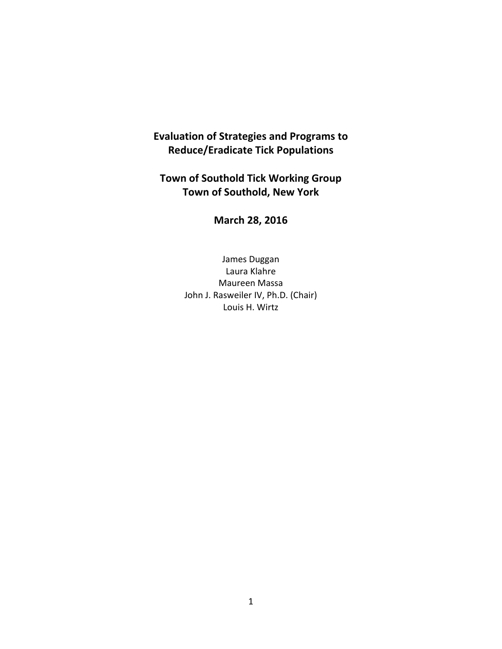## **Evaluation of Strategies and Programs to Reduce/Eradicate Tick Populations**

# **Town of Southold Tick Working Group Town of Southold, New York**

**March 28, 2016**

James Duggan Laura Klahre Maureen Massa John J. Rasweiler IV, Ph.D. (Chair) Louis H. Wirtz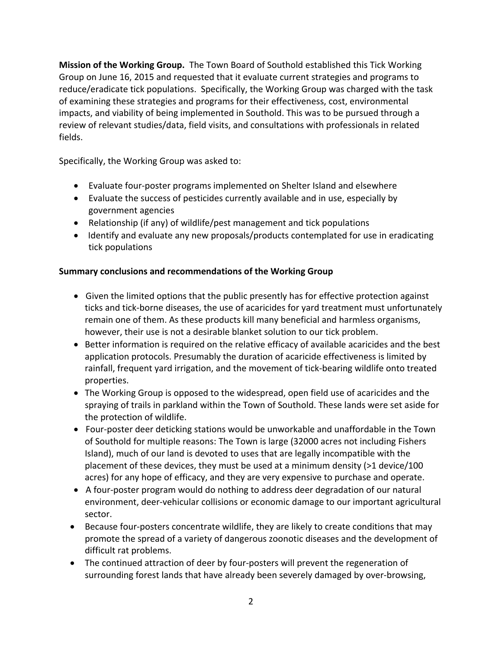**Mission of the Working Group.** The Town Board of Southold established this Tick Working Group on June 16, 2015 and requested that it evaluate current strategies and programs to reduce/eradicate tick populations. Specifically, the Working Group was charged with the task of examining these strategies and programs for their effectiveness, cost, environmental impacts, and viability of being implemented in Southold. This was to be pursued through a review of relevant studies/data, field visits, and consultations with professionals in related fields.

Specifically, the Working Group was asked to:

- Evaluate four‐poster programs implemented on Shelter Island and elsewhere
- Evaluate the success of pesticides currently available and in use, especially by government agencies
- Relationship (if any) of wildlife/pest management and tick populations
- Identify and evaluate any new proposals/products contemplated for use in eradicating tick populations

## **Summary conclusions and recommendations of the Working Group**

- Given the limited options that the public presently has for effective protection against ticks and tick‐borne diseases, the use of acaricides for yard treatment must unfortunately remain one of them. As these products kill many beneficial and harmless organisms, however, their use is not a desirable blanket solution to our tick problem.
- **Better information is required on the relative efficacy of available acaricides and the best** application protocols. Presumably the duration of acaricide effectiveness is limited by rainfall, frequent yard irrigation, and the movement of tick‐bearing wildlife onto treated properties.
- The Working Group is opposed to the widespread, open field use of acaricides and the spraying of trails in parkland within the Town of Southold. These lands were set aside for the protection of wildlife.
- Four-poster deer deticking stations would be unworkable and unaffordable in the Town of Southold for multiple reasons: The Town is large (32000 acres not including Fishers Island), much of our land is devoted to uses that are legally incompatible with the placement of these devices, they must be used at a minimum density (>1 device/100 acres) for any hope of efficacy, and they are very expensive to purchase and operate.
- A four-poster program would do nothing to address deer degradation of our natural environment, deer‐vehicular collisions or economic damage to our important agricultural sector.
- Because four-posters concentrate wildlife, they are likely to create conditions that may promote the spread of a variety of dangerous zoonotic diseases and the development of difficult rat problems.
- The continued attraction of deer by four‐posters will prevent the regeneration of surrounding forest lands that have already been severely damaged by over-browsing,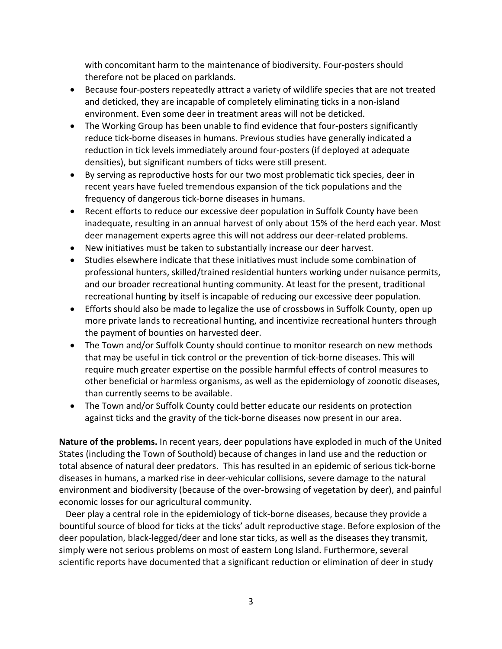with concomitant harm to the maintenance of biodiversity. Four‐posters should therefore not be placed on parklands.

- Because four-posters repeatedly attract a variety of wildlife species that are not treated and deticked, they are incapable of completely eliminating ticks in a non‐island environment. Even some deer in treatment areas will not be deticked.
- The Working Group has been unable to find evidence that four-posters significantly reduce tick‐borne diseases in humans. Previous studies have generally indicated a reduction in tick levels immediately around four‐posters (if deployed at adequate densities), but significant numbers of ticks were still present.
- By serving as reproductive hosts for our two most problematic tick species, deer in recent years have fueled tremendous expansion of the tick populations and the frequency of dangerous tick‐borne diseases in humans.
- Recent efforts to reduce our excessive deer population in Suffolk County have been inadequate, resulting in an annual harvest of only about 15% of the herd each year. Most deer management experts agree this will not address our deer‐related problems.
- New initiatives must be taken to substantially increase our deer harvest.
- Studies elsewhere indicate that these initiatives must include some combination of professional hunters, skilled/trained residential hunters working under nuisance permits, and our broader recreational hunting community. At least for the present, traditional recreational hunting by itself is incapable of reducing our excessive deer population.
- Efforts should also be made to legalize the use of crossbows in Suffolk County, open up more private lands to recreational hunting, and incentivize recreational hunters through the payment of bounties on harvested deer.
- The Town and/or Suffolk County should continue to monitor research on new methods that may be useful in tick control or the prevention of tick‐borne diseases. This will require much greater expertise on the possible harmful effects of control measures to other beneficial or harmless organisms, as well as the epidemiology of zoonotic diseases, than currently seems to be available.
- The Town and/or Suffolk County could better educate our residents on protection against ticks and the gravity of the tick‐borne diseases now present in our area.

**Nature of the problems.** In recent years, deer populations have exploded in much of the United States (including the Town of Southold) because of changes in land use and the reduction or total absence of natural deer predators. This has resulted in an epidemic of serious tick‐borne diseases in humans, a marked rise in deer‐vehicular collisions, severe damage to the natural environment and biodiversity (because of the over‐browsing of vegetation by deer), and painful economic losses for our agricultural community.

Deer play a central role in the epidemiology of tick-borne diseases, because they provide a bountiful source of blood for ticks at the ticks' adult reproductive stage. Before explosion of the deer population, black‐legged/deer and lone star ticks, as well as the diseases they transmit, simply were not serious problems on most of eastern Long Island. Furthermore, several scientific reports have documented that a significant reduction or elimination of deer in study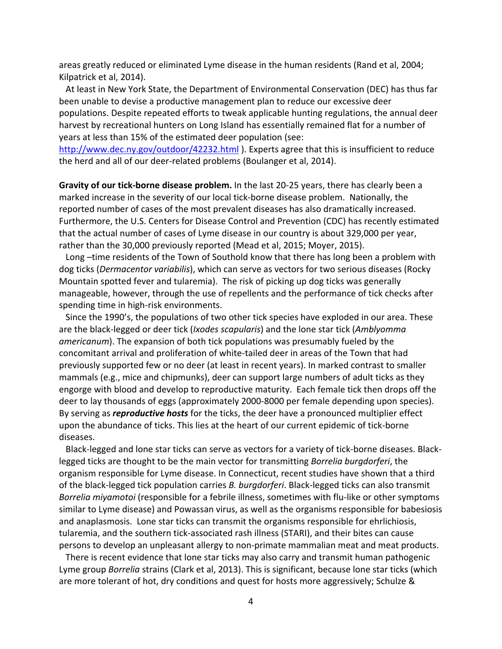areas greatly reduced or eliminated Lyme disease in the human residents (Rand et al, 2004; Kilpatrick et al, 2014).

 At least in New York State, the Department of Environmental Conservation (DEC) has thus far been unable to devise a productive management plan to reduce our excessive deer populations. Despite repeated efforts to tweak applicable hunting regulations, the annual deer harvest by recreational hunters on Long Island has essentially remained flat for a number of years at less than 15% of the estimated deer population (see:

http://www.dec.ny.gov/outdoor/42232.html ). Experts agree that this is insufficient to reduce the herd and all of our deer‐related problems (Boulanger et al, 2014).

**Gravity of our tick‐borne disease problem.** In the last 20‐25 years, there has clearly been a marked increase in the severity of our local tick‐borne disease problem. Nationally, the reported number of cases of the most prevalent diseases has also dramatically increased. Furthermore, the U.S. Centers for Disease Control and Prevention (CDC) has recently estimated that the actual number of cases of Lyme disease in our country is about 329,000 per year, rather than the 30,000 previously reported (Mead et al, 2015; Moyer, 2015).

Long –time residents of the Town of Southold know that there has long been a problem with dog ticks (*Dermacentor variabilis*), which can serve as vectors for two serious diseases (Rocky Mountain spotted fever and tularemia). The risk of picking up dog ticks was generally manageable, however, through the use of repellents and the performance of tick checks after spending time in high‐risk environments.

 Since the 1990's, the populations of two other tick species have exploded in our area. These are the black‐legged or deer tick (*Ixodes scapularis*) and the lone star tick (*Amblyomma americanum*). The expansion of both tick populations was presumably fueled by the concomitant arrival and proliferation of white‐tailed deer in areas of the Town that had previously supported few or no deer (at least in recent years). In marked contrast to smaller mammals (e.g., mice and chipmunks), deer can support large numbers of adult ticks as they engorge with blood and develop to reproductive maturity. Each female tick then drops off the deer to lay thousands of eggs (approximately 2000‐8000 per female depending upon species). By serving as *reproductive hosts* for the ticks, the deer have a pronounced multiplier effect upon the abundance of ticks. This lies at the heart of our current epidemic of tick‐borne diseases.

 Black‐legged and lone star ticks can serve as vectors for a variety of tick‐borne diseases. Black‐ legged ticks are thought to be the main vector for transmitting *Borrelia burgdorferi*, the organism responsible for Lyme disease. In Connecticut, recent studies have shown that a third of the black‐legged tick population carries *B. burgdorferi*. Black‐legged ticks can also transmit *Borrelia miyamotoi* (responsible for a febrile illness, sometimes with flu‐like or other symptoms similar to Lyme disease) and Powassan virus, as well as the organisms responsible for babesiosis and anaplasmosis. Lone star ticks can transmit the organisms responsible for ehrlichiosis, tularemia, and the southern tick‐associated rash illness (STARI), and their bites can cause persons to develop an unpleasant allergy to non‐primate mammalian meat and meat products.

 There is recent evidence that lone star ticks may also carry and transmit human pathogenic Lyme group *Borrelia* strains (Clark et al, 2013). This is significant, because lone star ticks (which are more tolerant of hot, dry conditions and quest for hosts more aggressively; Schulze &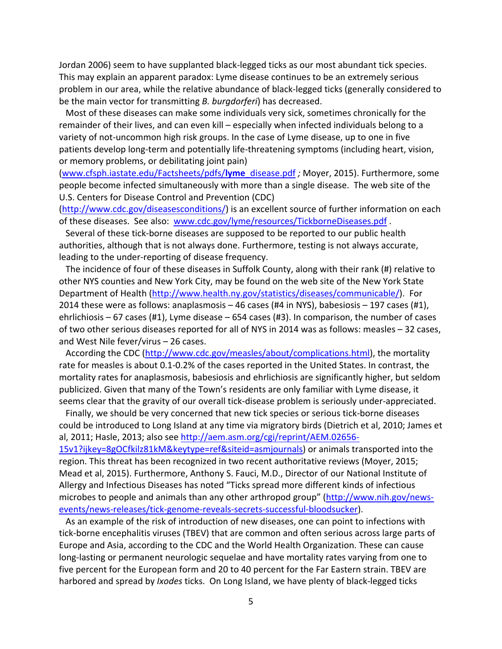Jordan 2006) seem to have supplanted black‐legged ticks as our most abundant tick species. This may explain an apparent paradox: Lyme disease continues to be an extremely serious problem in our area, while the relative abundance of black‐legged ticks (generally considered to be the main vector for transmitting *B. burgdorferi*) has decreased.

 Most of these diseases can make some individuals very sick, sometimes chronically for the remainder of their lives, and can even kill – especially when infected individuals belong to a variety of not‐uncommon high risk groups. In the case of Lyme disease, up to one in five patients develop long‐term and potentially life‐threatening symptoms (including heart, vision, or memory problems, or debilitating joint pain)

(www.cfsph.iastate.edu/Factsheets/pdfs/**lyme**\_disease.pdf *;* Moyer, 2015). Furthermore, some people become infected simultaneously with more than a single disease. The web site of the U.S. Centers for Disease Control and Prevention (CDC)

(http://www.cdc.gov/diseasesconditions/) is an excellent source of further information on each of these diseases. See also: www.cdc.gov/lyme/resources/TickborneDiseases.pdf .

 Several of these tick‐borne diseases are supposed to be reported to our public health authorities, although that is not always done. Furthermore, testing is not always accurate, leading to the under‐reporting of disease frequency.

 The incidence of four of these diseases in Suffolk County, along with their rank (#) relative to other NYS counties and New York City, may be found on the web site of the New York State Department of Health (http://www.health.ny.gov/statistics/diseases/communicable/). For 2014 these were as follows: anaplasmosis – 46 cases (#4 in NYS), babesiosis – 197 cases (#1), ehrlichiosis – 67 cases (#1), Lyme disease – 654 cases (#3). In comparison, the number of cases of two other serious diseases reported for all of NYS in 2014 was as follows: measles – 32 cases, and West Nile fever/virus – 26 cases.

 According the CDC (http://www.cdc.gov/measles/about/complications.html), the mortality rate for measles is about 0.1‐0.2% of the cases reported in the United States. In contrast, the mortality rates for anaplasmosis, babesiosis and ehrlichiosis are significantly higher, but seldom publicized. Given that many of the Town's residents are only familiar with Lyme disease, it seems clear that the gravity of our overall tick-disease problem is seriously under-appreciated.

 Finally, we should be very concerned that new tick species or serious tick‐borne diseases could be introduced to Long Island at any time via migratory birds (Dietrich et al, 2010; James et al, 2011; Hasle, 2013; also see http://aem.asm.org/cgi/reprint/AEM.02656‐ 15v1?ijkey=8gOCfkilz81kM&keytype=ref&siteid=asmjournals) or animals transported into the

region. This threat has been recognized in two recent authoritative reviews (Moyer, 2015; Mead et al, 2015). Furthermore, Anthony S. Fauci, M.D., Director of our National Institute of Allergy and Infectious Diseases has noted "Ticks spread more different kinds of infectious microbes to people and animals than any other arthropod group" (http://www.nih.gov/news‐ events/news‐releases/tick‐genome‐reveals‐secrets‐successful‐bloodsucker).

 As an example of the risk of introduction of new diseases, one can point to infections with tick‐borne encephalitis viruses (TBEV) that are common and often serious across large parts of Europe and Asia, according to the CDC and the World Health Organization. These can cause long‐lasting or permanent neurologic sequelae and have mortality rates varying from one to five percent for the European form and 20 to 40 percent for the Far Eastern strain. TBEV are harbored and spread by *Ixodes* ticks. On Long Island, we have plenty of black‐legged ticks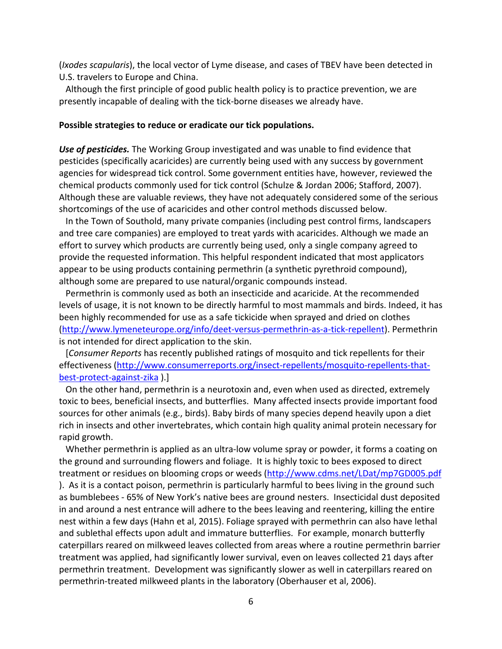(*Ixodes scapularis*), the local vector of Lyme disease, and cases of TBEV have been detected in U.S. travelers to Europe and China.

 Although the first principle of good public health policy is to practice prevention, we are presently incapable of dealing with the tick‐borne diseases we already have.

#### **Possible strategies to reduce or eradicate our tick populations.**

*Use of pesticides.* The Working Group investigated and was unable to find evidence that pesticides (specifically acaricides) are currently being used with any success by government agencies for widespread tick control. Some government entities have, however, reviewed the chemical products commonly used for tick control (Schulze & Jordan 2006; Stafford, 2007). Although these are valuable reviews, they have not adequately considered some of the serious shortcomings of the use of acaricides and other control methods discussed below.

 In the Town of Southold, many private companies (including pest control firms, landscapers and tree care companies) are employed to treat yards with acaricides. Although we made an effort to survey which products are currently being used, only a single company agreed to provide the requested information. This helpful respondent indicated that most applicators appear to be using products containing permethrin (a synthetic pyrethroid compound), although some are prepared to use natural/organic compounds instead.

 Permethrin is commonly used as both an insecticide and acaricide. At the recommended levels of usage, it is not known to be directly harmful to most mammals and birds. Indeed, it has been highly recommended for use as a safe tickicide when sprayed and dried on clothes (http://www.lymeneteurope.org/info/deet‐versus‐permethrin‐as‐a‐tick‐repellent). Permethrin is not intended for direct application to the skin.

 [*Consumer Reports* has recently published ratings of mosquito and tick repellents for their effectiveness (http://www.consumerreports.org/insect-repellents/mosquito-repellents-thatbest‐protect‐against‐zika ).]

 On the other hand, permethrin is a neurotoxin and, even when used as directed, extremely toxic to bees, beneficial insects, and butterflies. Many affected insects provide important food sources for other animals (e.g., birds). Baby birds of many species depend heavily upon a diet rich in insects and other invertebrates, which contain high quality animal protein necessary for rapid growth.

Whether permethrin is applied as an ultra-low volume spray or powder, it forms a coating on the ground and surrounding flowers and foliage. It is highly toxic to bees exposed to direct treatment or residues on blooming crops or weeds (http://www.cdms.net/LDat/mp7GD005.pdf ). As it is a contact poison, permethrin is particularly harmful to bees living in the ground such as bumblebees ‐ 65% of New York's native bees are ground nesters. Insecticidal dust deposited in and around a nest entrance will adhere to the bees leaving and reentering, killing the entire nest within a few days (Hahn et al, 2015). Foliage sprayed with permethrin can also have lethal and sublethal effects upon adult and immature butterflies. For example, monarch butterfly caterpillars reared on milkweed leaves collected from areas where a routine permethrin barrier treatment was applied, had significantly lower survival, even on leaves collected 21 days after permethrin treatment. Development was significantly slower as well in caterpillars reared on permethrin‐treated milkweed plants in the laboratory (Oberhauser et al, 2006).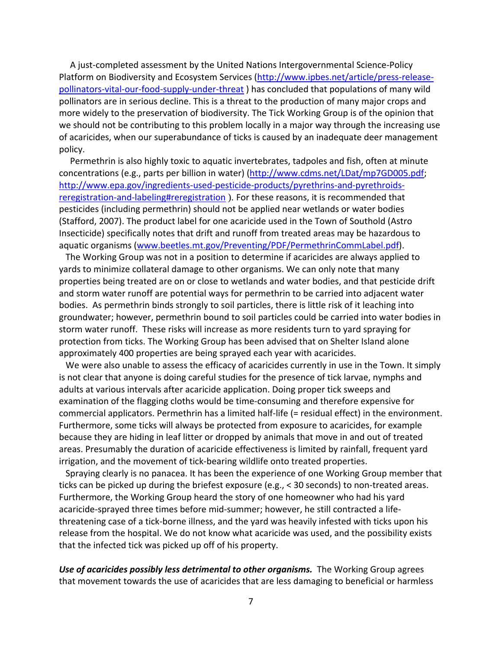A just‐completed assessment by the United Nations Intergovernmental Science‐Policy Platform on Biodiversity and Ecosystem Services (http://www.ipbes.net/article/press-releasepollinators‐vital‐our‐food‐supply‐under‐threat ) has concluded that populations of many wild pollinators are in serious decline. This is a threat to the production of many major crops and more widely to the preservation of biodiversity. The Tick Working Group is of the opinion that we should not be contributing to this problem locally in a major way through the increasing use of acaricides, when our superabundance of ticks is caused by an inadequate deer management policy.

 Permethrin is also highly toxic to aquatic invertebrates, tadpoles and fish, often at minute concentrations (e.g., parts per billion in water) (http://www.cdms.net/LDat/mp7GD005.pdf; http://www.epa.gov/ingredients-used-pesticide-products/pyrethrins-and-pyrethroidsreregistration-and-labeling#reregistration ). For these reasons, it is recommended that pesticides (including permethrin) should not be applied near wetlands or water bodies (Stafford, 2007). The product label for one acaricide used in the Town of Southold (Astro Insecticide) specifically notes that drift and runoff from treated areas may be hazardous to aquatic organisms (www.beetles.mt.gov/Preventing/PDF/PermethrinCommLabel.pdf).

 The Working Group was not in a position to determine if acaricides are always applied to yards to minimize collateral damage to other organisms. We can only note that many properties being treated are on or close to wetlands and water bodies, and that pesticide drift and storm water runoff are potential ways for permethrin to be carried into adjacent water bodies. As permethrin binds strongly to soil particles, there is little risk of it leaching into groundwater; however, permethrin bound to soil particles could be carried into water bodies in storm water runoff. These risks will increase as more residents turn to yard spraying for protection from ticks. The Working Group has been advised that on Shelter Island alone approximately 400 properties are being sprayed each year with acaricides.

 We were also unable to assess the efficacy of acaricides currently in use in the Town. It simply is not clear that anyone is doing careful studies for the presence of tick larvae, nymphs and adults at various intervals after acaricide application. Doing proper tick sweeps and examination of the flagging cloths would be time‐consuming and therefore expensive for commercial applicators. Permethrin has a limited half‐life (= residual effect) in the environment. Furthermore, some ticks will always be protected from exposure to acaricides, for example because they are hiding in leaf litter or dropped by animals that move in and out of treated areas. Presumably the duration of acaricide effectiveness is limited by rainfall, frequent yard irrigation, and the movement of tick‐bearing wildlife onto treated properties.

 Spraying clearly is no panacea. It has been the experience of one Working Group member that ticks can be picked up during the briefest exposure (e.g., < 30 seconds) to non‐treated areas. Furthermore, the Working Group heard the story of one homeowner who had his yard acaricide‐sprayed three times before mid‐summer; however, he still contracted a life‐ threatening case of a tick‐borne illness, and the yard was heavily infested with ticks upon his release from the hospital. We do not know what acaricide was used, and the possibility exists that the infected tick was picked up off of his property.

*Use of acaricides possibly less detrimental to other organisms.* The Working Group agrees that movement towards the use of acaricides that are less damaging to beneficial or harmless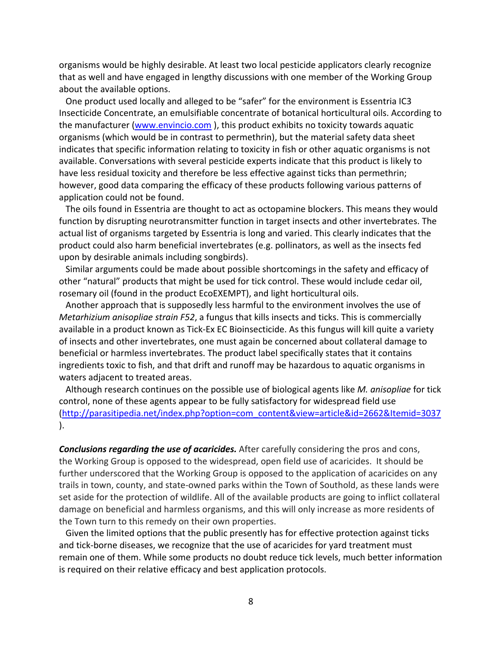organisms would be highly desirable. At least two local pesticide applicators clearly recognize that as well and have engaged in lengthy discussions with one member of the Working Group about the available options.

 One product used locally and alleged to be "safer" for the environment is Essentria IC3 Insecticide Concentrate, an emulsifiable concentrate of botanical horticultural oils. According to the manufacturer (www.envincio.com ), this product exhibits no toxicity towards aquatic organisms (which would be in contrast to permethrin), but the material safety data sheet indicates that specific information relating to toxicity in fish or other aquatic organisms is not available. Conversations with several pesticide experts indicate that this product is likely to have less residual toxicity and therefore be less effective against ticks than permethrin; however, good data comparing the efficacy of these products following various patterns of application could not be found.

 The oils found in Essentria are thought to act as octopamine blockers. This means they would function by disrupting neurotransmitter function in target insects and other invertebrates. The actual list of organisms targeted by Essentria is long and varied. This clearly indicates that the product could also harm beneficial invertebrates (e.g. pollinators, as well as the insects fed upon by desirable animals including songbirds).

 Similar arguments could be made about possible shortcomings in the safety and efficacy of other "natural" products that might be used for tick control. These would include cedar oil, rosemary oil (found in the product EcoEXEMPT), and light horticultural oils.

 Another approach that is supposedly less harmful to the environment involves the use of *Metarhizium anisopliae strain F52*, a fungus that kills insects and ticks. This is commercially available in a product known as Tick‐Ex EC Bioinsecticide. As this fungus will kill quite a variety of insects and other invertebrates, one must again be concerned about collateral damage to beneficial or harmless invertebrates. The product label specifically states that it contains ingredients toxic to fish, and that drift and runoff may be hazardous to aquatic organisms in waters adjacent to treated areas.

 Although research continues on the possible use of biological agents like *M. anisopliae* for tick control, none of these agents appear to be fully satisfactory for widespread field use (http://parasitipedia.net/index.php?option=com\_content&view=article&id=2662&Itemid=3037 ).

*Conclusions regarding the use of acaricides.* After carefully considering the pros and cons, the Working Group is opposed to the widespread, open field use of acaricides. It should be further underscored that the Working Group is opposed to the application of acaricides on any trails in town, county, and state‐owned parks within the Town of Southold, as these lands were set aside for the protection of wildlife. All of the available products are going to inflict collateral damage on beneficial and harmless organisms, and this will only increase as more residents of the Town turn to this remedy on their own properties.

 Given the limited options that the public presently has for effective protection against ticks and tick‐borne diseases, we recognize that the use of acaricides for yard treatment must remain one of them. While some products no doubt reduce tick levels, much better information is required on their relative efficacy and best application protocols.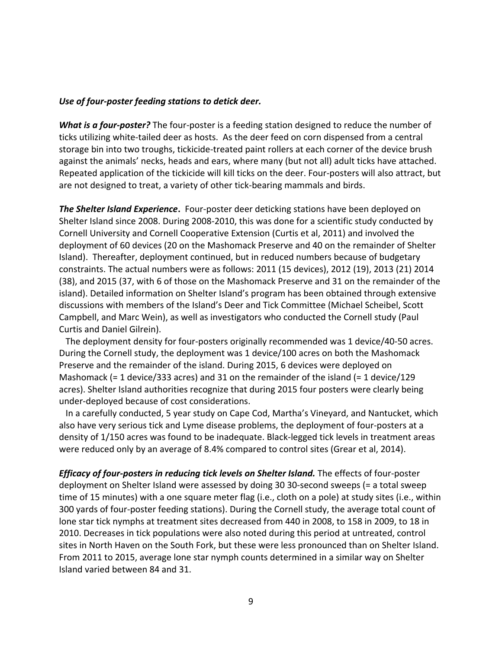### *Use of four‐poster feeding stations to detick deer.*

*What is a four‐poster?* The four‐poster is a feeding station designed to reduce the number of ticks utilizing white-tailed deer as hosts. As the deer feed on corn dispensed from a central storage bin into two troughs, tickicide‐treated paint rollers at each corner of the device brush against the animals' necks, heads and ears, where many (but not all) adult ticks have attached. Repeated application of the tickicide will kill ticks on the deer. Four‐posters will also attract, but are not designed to treat, a variety of other tick‐bearing mammals and birds.

*The Shelter Island Experience***.** Four‐poster deer deticking stations have been deployed on Shelter Island since 2008. During 2008‐2010, this was done for a scientific study conducted by Cornell University and Cornell Cooperative Extension (Curtis et al, 2011) and involved the deployment of 60 devices (20 on the Mashomack Preserve and 40 on the remainder of Shelter Island). Thereafter, deployment continued, but in reduced numbers because of budgetary constraints. The actual numbers were as follows: 2011 (15 devices), 2012 (19), 2013 (21) 2014 (38), and 2015 (37, with 6 of those on the Mashomack Preserve and 31 on the remainder of the island). Detailed information on Shelter Island's program has been obtained through extensive discussions with members of the Island's Deer and Tick Committee (Michael Scheibel, Scott Campbell, and Marc Wein), as well as investigators who conducted the Cornell study (Paul Curtis and Daniel Gilrein).

 The deployment density for four‐posters originally recommended was 1 device/40‐50 acres. During the Cornell study, the deployment was 1 device/100 acres on both the Mashomack Preserve and the remainder of the island. During 2015, 6 devices were deployed on Mashomack (= 1 device/333 acres) and 31 on the remainder of the island (= 1 device/129 acres). Shelter Island authorities recognize that during 2015 four posters were clearly being under‐deployed because of cost considerations.

 In a carefully conducted, 5 year study on Cape Cod, Martha's Vineyard, and Nantucket, which also have very serious tick and Lyme disease problems, the deployment of four‐posters at a density of 1/150 acres was found to be inadequate. Black‐legged tick levels in treatment areas were reduced only by an average of 8.4% compared to control sites (Grear et al, 2014).

*Efficacy of four‐posters in reducing tick levels on Shelter Island.* The effects of four‐poster deployment on Shelter Island were assessed by doing 30 30‐second sweeps (= a total sweep time of 15 minutes) with a one square meter flag (i.e., cloth on a pole) at study sites (i.e., within 300 yards of four‐poster feeding stations). During the Cornell study, the average total count of lone star tick nymphs at treatment sites decreased from 440 in 2008, to 158 in 2009, to 18 in 2010. Decreases in tick populations were also noted during this period at untreated, control sites in North Haven on the South Fork, but these were less pronounced than on Shelter Island. From 2011 to 2015, average lone star nymph counts determined in a similar way on Shelter Island varied between 84 and 31.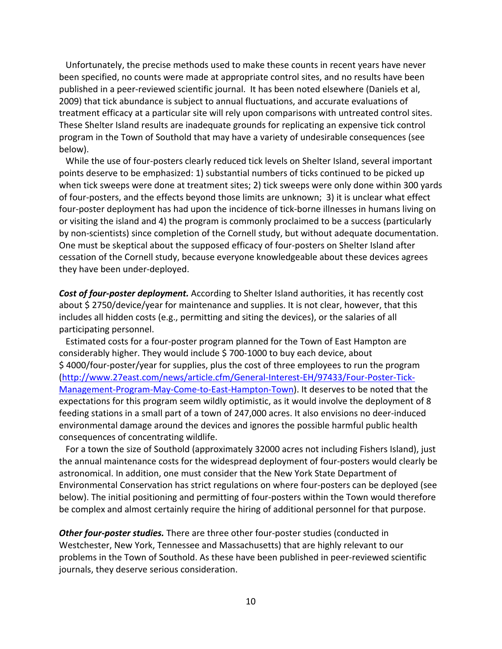Unfortunately, the precise methods used to make these counts in recent years have never been specified, no counts were made at appropriate control sites, and no results have been published in a peer‐reviewed scientific journal. It has been noted elsewhere (Daniels et al, 2009) that tick abundance is subject to annual fluctuations, and accurate evaluations of treatment efficacy at a particular site will rely upon comparisons with untreated control sites. These Shelter Island results are inadequate grounds for replicating an expensive tick control program in the Town of Southold that may have a variety of undesirable consequences (see below).

While the use of four-posters clearly reduced tick levels on Shelter Island, several important points deserve to be emphasized: 1) substantial numbers of ticks continued to be picked up when tick sweeps were done at treatment sites; 2) tick sweeps were only done within 300 yards of four‐posters, and the effects beyond those limits are unknown; 3) it is unclear what effect four-poster deployment has had upon the incidence of tick-borne illnesses in humans living on or visiting the island and 4) the program is commonly proclaimed to be a success (particularly by non‐scientists) since completion of the Cornell study, but without adequate documentation. One must be skeptical about the supposed efficacy of four‐posters on Shelter Island after cessation of the Cornell study, because everyone knowledgeable about these devices agrees they have been under‐deployed.

*Cost of four‐poster deployment.* According to Shelter Island authorities, it has recently cost about \$ 2750/device/year for maintenance and supplies. It is not clear, however, that this includes all hidden costs (e.g., permitting and siting the devices), or the salaries of all participating personnel.

 Estimated costs for a four‐poster program planned for the Town of East Hampton are considerably higher. They would include \$ 700‐1000 to buy each device, about \$ 4000/four‐poster/year for supplies, plus the cost of three employees to run the program (http://www.27east.com/news/article.cfm/General‐Interest‐EH/97433/Four‐Poster‐Tick‐ Management‐Program‐May‐Come‐to‐East‐Hampton‐Town). It deserves to be noted that the expectations for this program seem wildly optimistic, as it would involve the deployment of 8 feeding stations in a small part of a town of 247,000 acres. It also envisions no deer‐induced environmental damage around the devices and ignores the possible harmful public health consequences of concentrating wildlife.

 For a town the size of Southold (approximately 32000 acres not including Fishers Island), just the annual maintenance costs for the widespread deployment of four‐posters would clearly be astronomical. In addition, one must consider that the New York State Department of Environmental Conservation has strict regulations on where four‐posters can be deployed (see below). The initial positioning and permitting of four-posters within the Town would therefore be complex and almost certainly require the hiring of additional personnel for that purpose.

*Other four‐poster studies.* There are three other four‐poster studies (conducted in Westchester, New York, Tennessee and Massachusetts) that are highly relevant to our problems in the Town of Southold. As these have been published in peer‐reviewed scientific journals, they deserve serious consideration.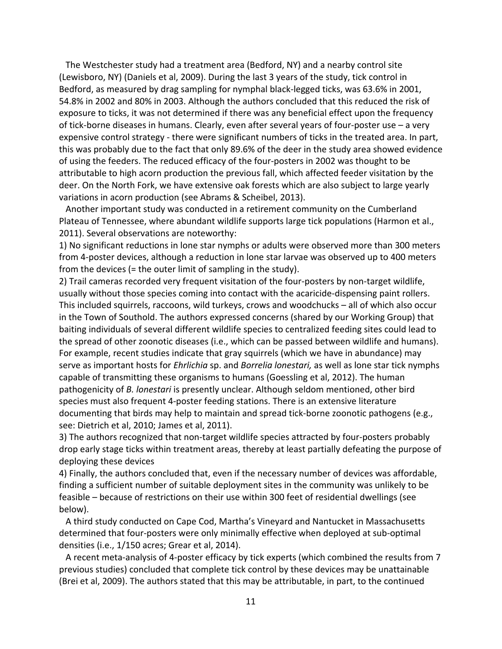The Westchester study had a treatment area (Bedford, NY) and a nearby control site (Lewisboro, NY) (Daniels et al, 2009). During the last 3 years of the study, tick control in Bedford, as measured by drag sampling for nymphal black‐legged ticks, was 63.6% in 2001, 54.8% in 2002 and 80% in 2003. Although the authors concluded that this reduced the risk of exposure to ticks, it was not determined if there was any beneficial effect upon the frequency of tick‐borne diseases in humans. Clearly, even after several years of four‐poster use – a very expensive control strategy ‐ there were significant numbers of ticks in the treated area. In part, this was probably due to the fact that only 89.6% of the deer in the study area showed evidence of using the feeders. The reduced efficacy of the four‐posters in 2002 was thought to be attributable to high acorn production the previous fall, which affected feeder visitation by the deer. On the North Fork, we have extensive oak forests which are also subject to large yearly variations in acorn production (see Abrams & Scheibel, 2013).

 Another important study was conducted in a retirement community on the Cumberland Plateau of Tennessee, where abundant wildlife supports large tick populations (Harmon et al., 2011). Several observations are noteworthy:

1) No significant reductions in lone star nymphs or adults were observed more than 300 meters from 4‐poster devices, although a reduction in lone star larvae was observed up to 400 meters from the devices (= the outer limit of sampling in the study).

2) Trail cameras recorded very frequent visitation of the four-posters by non-target wildlife, usually without those species coming into contact with the acaricide‐dispensing paint rollers. This included squirrels, raccoons, wild turkeys, crows and woodchucks – all of which also occur in the Town of Southold. The authors expressed concerns (shared by our Working Group) that baiting individuals of several different wildlife species to centralized feeding sites could lead to the spread of other zoonotic diseases (i.e., which can be passed between wildlife and humans). For example, recent studies indicate that gray squirrels (which we have in abundance) may serve as important hosts for *Ehrlichia* sp. and *Borrelia lonestari,* as well as lone star tick nymphs capable of transmitting these organisms to humans (Goessling et al, 2012). The human pathogenicity of *B. lonestari* is presently unclear. Although seldom mentioned, other bird species must also frequent 4‐poster feeding stations. There is an extensive literature documenting that birds may help to maintain and spread tick‐borne zoonotic pathogens (e.g., see: Dietrich et al, 2010; James et al, 2011).

3) The authors recognized that non‐target wildlife species attracted by four‐posters probably drop early stage ticks within treatment areas, thereby at least partially defeating the purpose of deploying these devices

4) Finally, the authors concluded that, even if the necessary number of devices was affordable, finding a sufficient number of suitable deployment sites in the community was unlikely to be feasible – because of restrictions on their use within 300 feet of residential dwellings (see below).

 A third study conducted on Cape Cod, Martha's Vineyard and Nantucket in Massachusetts determined that four‐posters were only minimally effective when deployed at sub‐optimal densities (i.e., 1/150 acres; Grear et al, 2014).

 A recent meta‐analysis of 4‐poster efficacy by tick experts (which combined the results from 7 previous studies) concluded that complete tick control by these devices may be unattainable (Brei et al, 2009). The authors stated that this may be attributable, in part, to the continued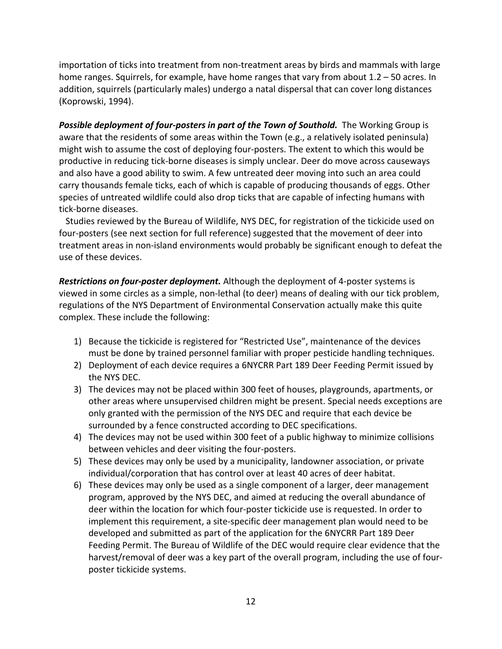importation of ticks into treatment from non-treatment areas by birds and mammals with large home ranges. Squirrels, for example, have home ranges that vary from about 1.2 – 50 acres. In addition, squirrels (particularly males) undergo a natal dispersal that can cover long distances (Koprowski, 1994).

*Possible deployment of four‐posters in part of the Town of Southold.* The Working Group is aware that the residents of some areas within the Town (e.g., a relatively isolated peninsula) might wish to assume the cost of deploying four‐posters. The extent to which this would be productive in reducing tick‐borne diseases is simply unclear. Deer do move across causeways and also have a good ability to swim. A few untreated deer moving into such an area could carry thousands female ticks, each of which is capable of producing thousands of eggs. Other species of untreated wildlife could also drop ticks that are capable of infecting humans with tick‐borne diseases.

 Studies reviewed by the Bureau of Wildlife, NYS DEC, for registration of the tickicide used on four-posters (see next section for full reference) suggested that the movement of deer into treatment areas in non‐island environments would probably be significant enough to defeat the use of these devices.

*Restrictions on four‐poster deployment.* Although the deployment of 4‐poster systems is viewed in some circles as a simple, non‐lethal (to deer) means of dealing with our tick problem, regulations of the NYS Department of Environmental Conservation actually make this quite complex. These include the following:

- 1) Because the tickicide is registered for "Restricted Use", maintenance of the devices must be done by trained personnel familiar with proper pesticide handling techniques.
- 2) Deployment of each device requires a 6NYCRR Part 189 Deer Feeding Permit issued by the NYS DEC.
- 3) The devices may not be placed within 300 feet of houses, playgrounds, apartments, or other areas where unsupervised children might be present. Special needs exceptions are only granted with the permission of the NYS DEC and require that each device be surrounded by a fence constructed according to DEC specifications.
- 4) The devices may not be used within 300 feet of a public highway to minimize collisions between vehicles and deer visiting the four‐posters.
- 5) These devices may only be used by a municipality, landowner association, or private individual/corporation that has control over at least 40 acres of deer habitat.
- 6) These devices may only be used as a single component of a larger, deer management program, approved by the NYS DEC, and aimed at reducing the overall abundance of deer within the location for which four‐poster tickicide use is requested. In order to implement this requirement, a site‐specific deer management plan would need to be developed and submitted as part of the application for the 6NYCRR Part 189 Deer Feeding Permit. The Bureau of Wildlife of the DEC would require clear evidence that the harvest/removal of deer was a key part of the overall program, including the use of four‐ poster tickicide systems.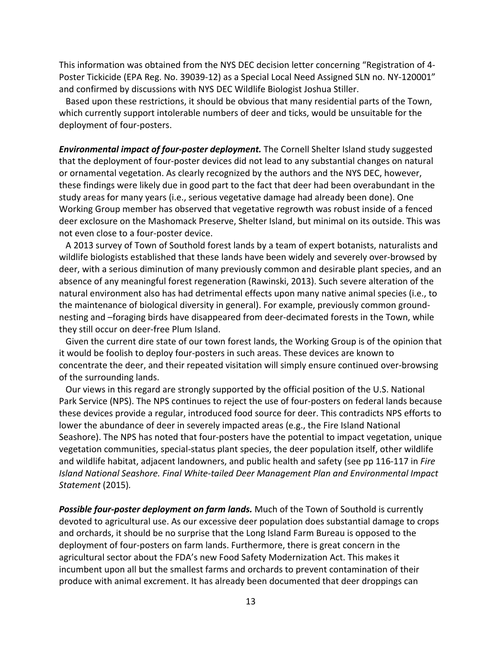This information was obtained from the NYS DEC decision letter concerning "Registration of 4‐ Poster Tickicide (EPA Reg. No. 39039‐12) as a Special Local Need Assigned SLN no. NY‐120001" and confirmed by discussions with NYS DEC Wildlife Biologist Joshua Stiller.

 Based upon these restrictions, it should be obvious that many residential parts of the Town, which currently support intolerable numbers of deer and ticks, would be unsuitable for the deployment of four‐posters.

*Environmental impact of four‐poster deployment.* The Cornell Shelter Island study suggested that the deployment of four‐poster devices did not lead to any substantial changes on natural or ornamental vegetation. As clearly recognized by the authors and the NYS DEC, however, these findings were likely due in good part to the fact that deer had been overabundant in the study areas for many years (i.e., serious vegetative damage had already been done). One Working Group member has observed that vegetative regrowth was robust inside of a fenced deer exclosure on the Mashomack Preserve, Shelter Island, but minimal on its outside. This was not even close to a four‐poster device.

 A 2013 survey of Town of Southold forest lands by a team of expert botanists, naturalists and wildlife biologists established that these lands have been widely and severely over‐browsed by deer, with a serious diminution of many previously common and desirable plant species, and an absence of any meaningful forest regeneration (Rawinski, 2013). Such severe alteration of the natural environment also has had detrimental effects upon many native animal species (i.e., to the maintenance of biological diversity in general). For example, previously common ground‐ nesting and –foraging birds have disappeared from deer‐decimated forests in the Town, while they still occur on deer‐free Plum Island.

 Given the current dire state of our town forest lands, the Working Group is of the opinion that it would be foolish to deploy four‐posters in such areas. These devices are known to concentrate the deer, and their repeated visitation will simply ensure continued over‐browsing of the surrounding lands.

 Our views in this regard are strongly supported by the official position of the U.S. National Park Service (NPS). The NPS continues to reject the use of four-posters on federal lands because these devices provide a regular, introduced food source for deer. This contradicts NPS efforts to lower the abundance of deer in severely impacted areas (e.g., the Fire Island National Seashore). The NPS has noted that four‐posters have the potential to impact vegetation, unique vegetation communities, special‐status plant species, the deer population itself, other wildlife and wildlife habitat, adjacent landowners, and public health and safety (see pp 116‐117 in *Fire Island National Seashore. Final White‐tailed Deer Management Plan and Environmental Impact Statement* (2015)*.*

*Possible four‐poster deployment on farm lands.* Much of the Town of Southold is currently devoted to agricultural use. As our excessive deer population does substantial damage to crops and orchards, it should be no surprise that the Long Island Farm Bureau is opposed to the deployment of four‐posters on farm lands. Furthermore, there is great concern in the agricultural sector about the FDA's new Food Safety Modernization Act. This makes it incumbent upon all but the smallest farms and orchards to prevent contamination of their produce with animal excrement. It has already been documented that deer droppings can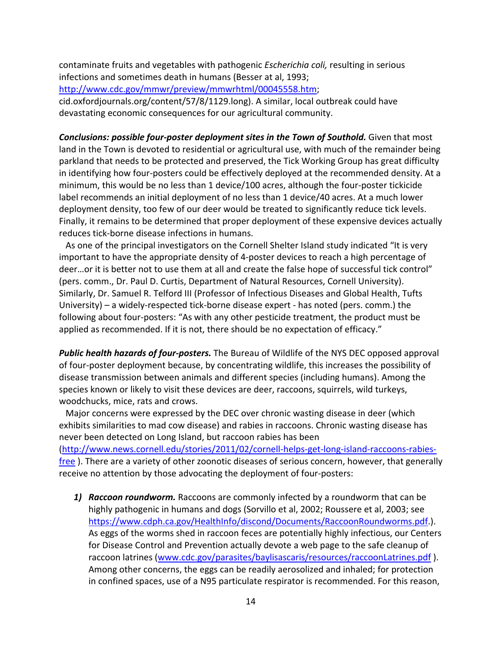contaminate fruits and vegetables with pathogenic *Escherichia coli,* resulting in serious infections and sometimes death in humans (Besser at al, 1993; http://www.cdc.gov/mmwr/preview/mmwrhtml/00045558.htm;

cid.oxfordjournals.org/content/57/8/1129.long). A similar, local outbreak could have devastating economic consequences for our agricultural community.

*Conclusions: possible four‐poster deployment sites in the Town of Southold.* Given that most land in the Town is devoted to residential or agricultural use, with much of the remainder being parkland that needs to be protected and preserved, the Tick Working Group has great difficulty in identifying how four‐posters could be effectively deployed at the recommended density. At a minimum, this would be no less than 1 device/100 acres, although the four‐poster tickicide label recommends an initial deployment of no less than 1 device/40 acres. At a much lower deployment density, too few of our deer would be treated to significantly reduce tick levels. Finally, it remains to be determined that proper deployment of these expensive devices actually reduces tick‐borne disease infections in humans.

 As one of the principal investigators on the Cornell Shelter Island study indicated "It is very important to have the appropriate density of 4‐poster devices to reach a high percentage of deer…or it is better not to use them at all and create the false hope of successful tick control" (pers. comm., Dr. Paul D. Curtis, Department of Natural Resources, Cornell University). Similarly, Dr. Samuel R. Telford III (Professor of Infectious Diseases and Global Health, Tufts University) – a widely‐respected tick‐borne disease expert ‐ has noted (pers. comm.) the following about four‐posters: "As with any other pesticide treatment, the product must be applied as recommended. If it is not, there should be no expectation of efficacy."

*Public health hazards of four‐posters.* The Bureau of Wildlife of the NYS DEC opposed approval of four‐poster deployment because, by concentrating wildlife, this increases the possibility of disease transmission between animals and different species (including humans). Among the species known or likely to visit these devices are deer, raccoons, squirrels, wild turkeys, woodchucks, mice, rats and crows.

 Major concerns were expressed by the DEC over chronic wasting disease in deer (which exhibits similarities to mad cow disease) and rabies in raccoons. Chronic wasting disease has never been detected on Long Island, but raccoon rabies has been (http://www.news.cornell.edu/stories/2011/02/cornell‐helps‐get‐long‐island‐raccoons‐rabies‐ free ). There are a variety of other zoonotic diseases of serious concern, however, that generally receive no attention by those advocating the deployment of four‐posters:

*1) Raccoon roundworm.* Raccoons are commonly infected by a roundworm that can be highly pathogenic in humans and dogs (Sorvillo et al, 2002; Roussere et al, 2003; see https://www.cdph.ca.gov/HealthInfo/discond/Documents/RaccoonRoundworms.pdf.). As eggs of the worms shed in raccoon feces are potentially highly infectious, our Centers for Disease Control and Prevention actually devote a web page to the safe cleanup of raccoon latrines (www.cdc.gov/parasites/baylisascaris/resources/raccoonLatrines.pdf ). Among other concerns, the eggs can be readily aerosolized and inhaled; for protection in confined spaces, use of a N95 particulate respirator is recommended. For this reason,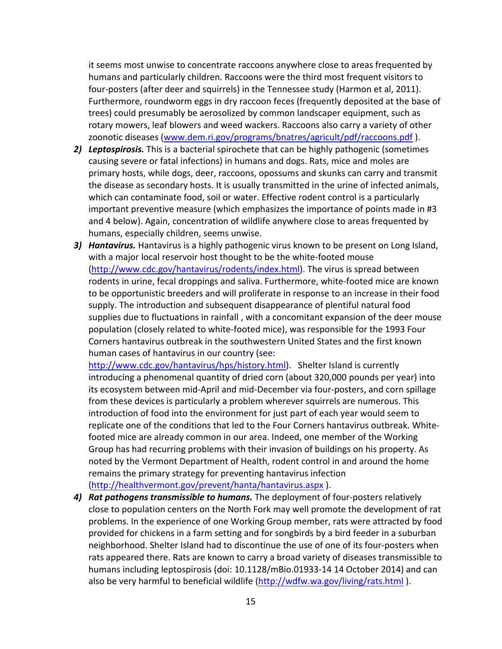it seems most unwise to concentrate raccoons anywhere close to areas frequented by humans and particularly children. Raccoons were the third most frequent visitors to four‐posters (after deer and squirrels) in the Tennessee study (Harmon et al, 2011). Furthermore, roundworm eggs in dry raccoon feces (frequently deposited at the base of trees) could presumably be aerosolized by common landscaper equipment, such as rotary mowers, leaf blowers and weed wackers. Raccoons also carry a variety of other zoonotic diseases (www.dem.ri.gov/programs/bnatres/agricult/pdf/raccoons.pdf ).

- *2) Leptospirosis.* This is a bacterial spirochete that can be highly pathogenic (sometimes causing severe or fatal infections) in humans and dogs. Rats, mice and moles are primary hosts, while dogs, deer, raccoons, opossums and skunks can carry and transmit the disease as secondary hosts. It is usually transmitted in the urine of infected animals, which can contaminate food, soil or water. Effective rodent control is a particularly important preventive measure (which emphasizes the importance of points made in #3 and 4 below). Again, concentration of wildlife anywhere close to areas frequented by humans, especially children, seems unwise.
- *3) Hantavirus.* Hantavirus is a highly pathogenic virus known to be present on Long Island, with a major local reservoir host thought to be the white-footed mouse (http://www.cdc.gov/hantavirus/rodents/index.html). The virus is spread between rodents in urine, fecal droppings and saliva. Furthermore, white‐footed mice are known to be opportunistic breeders and will proliferate in response to an increase in their food supply. The introduction and subsequent disappearance of plentiful natural food supplies due to fluctuations in rainfall , with a concomitant expansion of the deer mouse population (closely related to white‐footed mice), was responsible for the 1993 Four Corners hantavirus outbreak in the southwestern United States and the first known human cases of hantavirus in our country (see:

http://www.cdc.gov/hantavirus/hps/history.html). Shelter Island is currently introducing a phenomenal quantity of dried corn (about 320,000 pounds per year) into its ecosystem between mid‐April and mid‐December via four‐posters, and corn spillage from these devices is particularly a problem wherever squirrels are numerous. This introduction of food into the environment for just part of each year would seem to replicate one of the conditions that led to the Four Corners hantavirus outbreak. White‐ footed mice are already common in our area. Indeed, one member of the Working Group has had recurring problems with their invasion of buildings on his property. As noted by the Vermont Department of Health, rodent control in and around the home remains the primary strategy for preventing hantavirus infection (http://healthvermont.gov/prevent/hanta/hantavirus.aspx ).

*4) Rat pathogens transmissible to humans.* The deployment of four‐posters relatively close to population centers on the North Fork may well promote the development of rat problems. In the experience of one Working Group member, rats were attracted by food provided for chickens in a farm setting and for songbirds by a bird feeder in a suburban neighborhood. Shelter Island had to discontinue the use of one of its four‐posters when rats appeared there. Rats are known to carry a broad variety of diseases transmissible to humans including leptospirosis (doi: 10.1128/mBio.01933‐14 14 October 2014) and can also be very harmful to beneficial wildlife (http://wdfw.wa.gov/living/rats.html).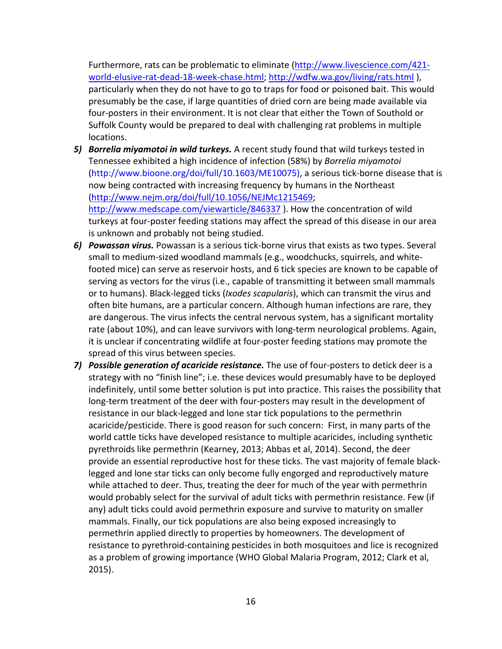Furthermore, rats can be problematic to eliminate (http://www.livescience.com/421‐ world-elusive-rat-dead-18-week-chase.html; http://wdfw.wa.gov/living/rats.html), particularly when they do not have to go to traps for food or poisoned bait. This would presumably be the case, if large quantities of dried corn are being made available via four‐posters in their environment. It is not clear that either the Town of Southold or Suffolk County would be prepared to deal with challenging rat problems in multiple locations.

- *5) Borrelia miyamotoi in wild turkeys.* A recent study found that wild turkeys tested in Tennessee exhibited a high incidence of infection (58%) by *Borrelia miyamotoi* (http://www.bioone.org/doi/full/10.1603/ME10075), a serious tick‐borne disease that is now being contracted with increasing frequency by humans in the Northeast (http://www.nejm.org/doi/full/10.1056/NEJMc1215469; http://www.medscape.com/viewarticle/846337 ). How the concentration of wild turkeys at four‐poster feeding stations may affect the spread of this disease in our area is unknown and probably not being studied.
- *6) Powassan virus.* Powassan is a serious tick‐borne virus that exists as two types. Several small to medium‐sized woodland mammals (e.g., woodchucks, squirrels, and white‐ footed mice) can serve as reservoir hosts, and 6 tick species are known to be capable of serving as vectors for the virus (i.e., capable of transmitting it between small mammals or to humans). Black‐legged ticks (*Ixodes scapularis*), which can transmit the virus and often bite humans, are a particular concern. Although human infections are rare, they are dangerous. The virus infects the central nervous system, has a significant mortality rate (about 10%), and can leave survivors with long-term neurological problems. Again, it is unclear if concentrating wildlife at four‐poster feeding stations may promote the spread of this virus between species.
- *7) Possible generation of acaricide resistance.* The use of four‐posters to detick deer is a strategy with no "finish line"; i.e. these devices would presumably have to be deployed indefinitely, until some better solution is put into practice. This raises the possibility that long-term treatment of the deer with four-posters may result in the development of resistance in our black‐legged and lone star tick populations to the permethrin acaricide/pesticide. There is good reason for such concern: First, in many parts of the world cattle ticks have developed resistance to multiple acaricides, including synthetic pyrethroids like permethrin (Kearney, 2013; Abbas et al, 2014). Second, the deer provide an essential reproductive host for these ticks. The vast majority of female black‐ legged and lone star ticks can only become fully engorged and reproductively mature while attached to deer. Thus, treating the deer for much of the year with permethrin would probably select for the survival of adult ticks with permethrin resistance. Few (if any) adult ticks could avoid permethrin exposure and survive to maturity on smaller mammals. Finally, our tick populations are also being exposed increasingly to permethrin applied directly to properties by homeowners. The development of resistance to pyrethroid‐containing pesticides in both mosquitoes and lice is recognized as a problem of growing importance (WHO Global Malaria Program, 2012; Clark et al, 2015).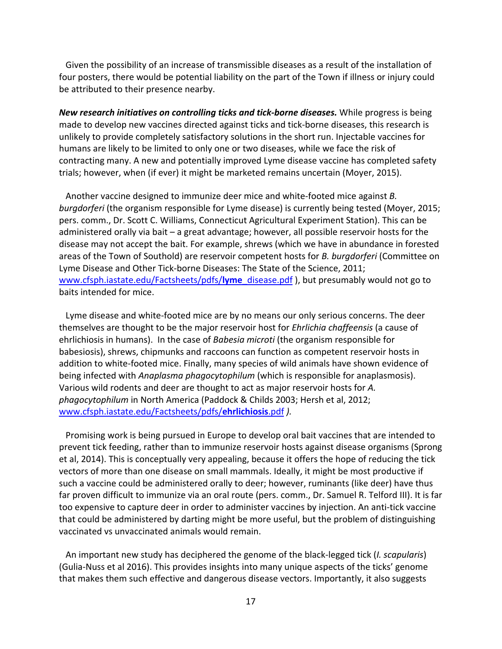Given the possibility of an increase of transmissible diseases as a result of the installation of four posters, there would be potential liability on the part of the Town if illness or injury could be attributed to their presence nearby.

*New research initiatives on controlling ticks and tick‐borne diseases.* While progress is being made to develop new vaccines directed against ticks and tick‐borne diseases, this research is unlikely to provide completely satisfactory solutions in the short run. Injectable vaccines for humans are likely to be limited to only one or two diseases, while we face the risk of contracting many. A new and potentially improved Lyme disease vaccine has completed safety trials; however, when (if ever) it might be marketed remains uncertain (Moyer, 2015).

 Another vaccine designed to immunize deer mice and white‐footed mice against *B. burgdorferi* (the organism responsible for Lyme disease) is currently being tested (Moyer, 2015; pers. comm., Dr. Scott C. Williams, Connecticut Agricultural Experiment Station). This can be administered orally via bait – a great advantage; however, all possible reservoir hosts for the disease may not accept the bait. For example, shrews (which we have in abundance in forested areas of the Town of Southold) are reservoir competent hosts for *B. burgdorferi* (Committee on Lyme Disease and Other Tick‐borne Diseases: The State of the Science, 2011; www.cfsph.iastate.edu/Factsheets/pdfs/**lyme**\_disease.pdf ), but presumably would not go to baits intended for mice.

 Lyme disease and white‐footed mice are by no means our only serious concerns. The deer themselves are thought to be the major reservoir host for *Ehrlichia chaffeensis* (a cause of ehrlichiosis in humans). In the case of *Babesia microti* (the organism responsible for babesiosis), shrews, chipmunks and raccoons can function as competent reservoir hosts in addition to white‐footed mice. Finally, many species of wild animals have shown evidence of being infected with *Anaplasma phagocytophilum* (which is responsible for anaplasmosis). Various wild rodents and deer are thought to act as major reservoir hosts for *A. phagocytophilum* in North America (Paddock & Childs 2003; Hersh et al, 2012; www.cfsph.iastate.edu/Factsheets/pdfs/**ehrlichiosis**.pdf *).*

 Promising work is being pursued in Europe to develop oral bait vaccines that are intended to prevent tick feeding, rather than to immunize reservoir hosts against disease organisms (Sprong et al, 2014). This is conceptually very appealing, because it offers the hope of reducing the tick vectors of more than one disease on small mammals. Ideally, it might be most productive if such a vaccine could be administered orally to deer; however, ruminants (like deer) have thus far proven difficult to immunize via an oral route (pers. comm., Dr. Samuel R. Telford III). It is far too expensive to capture deer in order to administer vaccines by injection. An anti‐tick vaccine that could be administered by darting might be more useful, but the problem of distinguishing vaccinated vs unvaccinated animals would remain.

 An important new study has deciphered the genome of the black‐legged tick (*I. scapularis*) (Gulia‐Nuss et al 2016). This provides insights into many unique aspects of the ticks' genome that makes them such effective and dangerous disease vectors. Importantly, it also suggests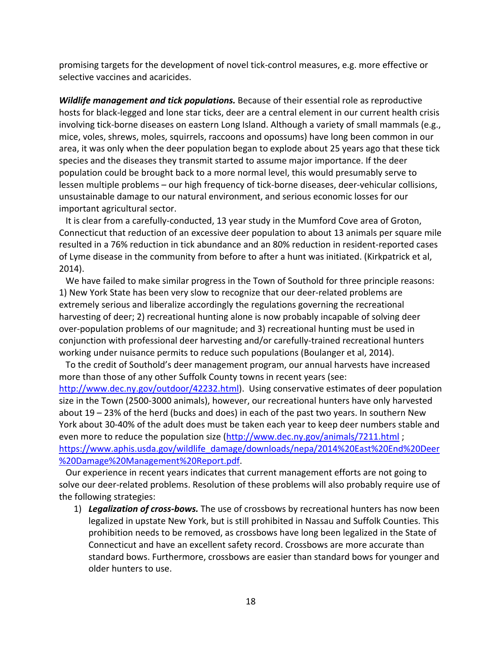promising targets for the development of novel tick‐control measures, e.g. more effective or selective vaccines and acaricides.

*Wildlife management and tick populations.* Because of their essential role as reproductive hosts for black-legged and lone star ticks, deer are a central element in our current health crisis involving tick‐borne diseases on eastern Long Island. Although a variety of small mammals (e.g., mice, voles, shrews, moles, squirrels, raccoons and opossums) have long been common in our area, it was only when the deer population began to explode about 25 years ago that these tick species and the diseases they transmit started to assume major importance. If the deer population could be brought back to a more normal level, this would presumably serve to lessen multiple problems – our high frequency of tick‐borne diseases, deer‐vehicular collisions, unsustainable damage to our natural environment, and serious economic losses for our important agricultural sector.

It is clear from a carefully-conducted, 13 year study in the Mumford Cove area of Groton, Connecticut that reduction of an excessive deer population to about 13 animals per square mile resulted in a 76% reduction in tick abundance and an 80% reduction in resident‐reported cases of Lyme disease in the community from before to after a hunt was initiated. (Kirkpatrick et al, 2014).

 We have failed to make similar progress in the Town of Southold for three principle reasons: 1) New York State has been very slow to recognize that our deer‐related problems are extremely serious and liberalize accordingly the regulations governing the recreational harvesting of deer; 2) recreational hunting alone is now probably incapable of solving deer over‐population problems of our magnitude; and 3) recreational hunting must be used in conjunction with professional deer harvesting and/or carefully‐trained recreational hunters working under nuisance permits to reduce such populations (Boulanger et al, 2014).

 To the credit of Southold's deer management program, our annual harvests have increased more than those of any other Suffolk County towns in recent years (see: http://www.dec.ny.gov/outdoor/42232.html). Using conservative estimates of deer population size in the Town (2500‐3000 animals), however, our recreational hunters have only harvested about 19 – 23% of the herd (bucks and does) in each of the past two years. In southern New York about 30‐40% of the adult does must be taken each year to keep deer numbers stable and even more to reduce the population size (http://www.dec.ny.gov/animals/7211.html; https://www.aphis.usda.gov/wildlife\_damage/downloads/nepa/2014%20East%20End%20Deer %20Damage%20Management%20Report.pdf.

 Our experience in recent years indicates that current management efforts are not going to solve our deer‐related problems. Resolution of these problems will also probably require use of the following strategies:

1) *Legalization of cross‐bows.* The use of crossbows by recreational hunters has now been legalized in upstate New York, but is still prohibited in Nassau and Suffolk Counties. This prohibition needs to be removed, as crossbows have long been legalized in the State of Connecticut and have an excellent safety record. Crossbows are more accurate than standard bows. Furthermore, crossbows are easier than standard bows for younger and older hunters to use.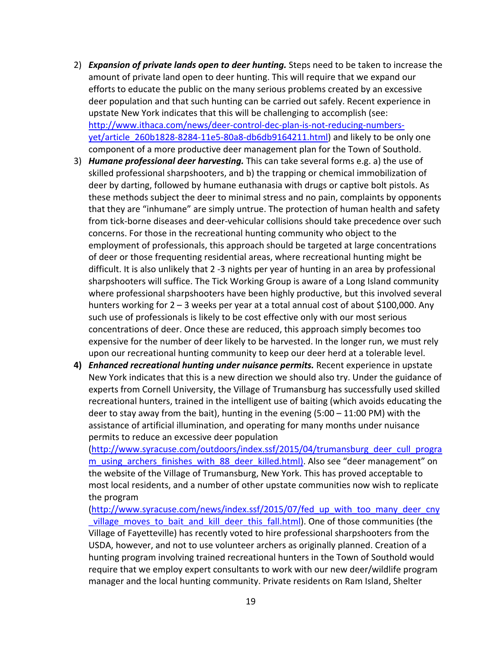- 2) *Expansion of private lands open to deer hunting.* Steps need to be taken to increase the amount of private land open to deer hunting. This will require that we expand our efforts to educate the public on the many serious problems created by an excessive deer population and that such hunting can be carried out safely. Recent experience in upstate New York indicates that this will be challenging to accomplish (see: http://www.ithaca.com/news/deer-control-dec-plan-is-not-reducing-numbersyet/article\_260b1828-8284-11e5-80a8-db6db9164211.html) and likely to be only one component of a more productive deer management plan for the Town of Southold.
- 3) *Humane professional deer harvesting.* This can take several forms e.g. a) the use of skilled professional sharpshooters, and b) the trapping or chemical immobilization of deer by darting, followed by humane euthanasia with drugs or captive bolt pistols. As these methods subject the deer to minimal stress and no pain, complaints by opponents that they are "inhumane" are simply untrue. The protection of human health and safety from tick‐borne diseases and deer‐vehicular collisions should take precedence over such concerns. For those in the recreational hunting community who object to the employment of professionals, this approach should be targeted at large concentrations of deer or those frequenting residential areas, where recreational hunting might be difficult. It is also unlikely that 2 ‐3 nights per year of hunting in an area by professional sharpshooters will suffice. The Tick Working Group is aware of a Long Island community where professional sharpshooters have been highly productive, but this involved several hunters working for 2 – 3 weeks per year at a total annual cost of about \$100,000. Any such use of professionals is likely to be cost effective only with our most serious concentrations of deer. Once these are reduced, this approach simply becomes too expensive for the number of deer likely to be harvested. In the longer run, we must rely upon our recreational hunting community to keep our deer herd at a tolerable level.
- **4)** *Enhanced recreational hunting under nuisance permits.* Recent experience in upstate New York indicates that this is a new direction we should also try. Under the guidance of experts from Cornell University, the Village of Trumansburg has successfully used skilled recreational hunters, trained in the intelligent use of baiting (which avoids educating the deer to stay away from the bait), hunting in the evening (5:00 – 11:00 PM) with the assistance of artificial illumination, and operating for many months under nuisance permits to reduce an excessive deer population

(http://www.syracuse.com/outdoors/index.ssf/2015/04/trumansburg\_deer\_cull\_progra m\_using\_archers\_finishes\_with\_88\_deer\_killed.html). Also see "deer management" on the website of the Village of Trumansburg, New York. This has proved acceptable to most local residents, and a number of other upstate communities now wish to replicate the program

(http://www.syracuse.com/news/index.ssf/2015/07/fed up with too many deer cny village moves to bait and kill deer this fall.html). One of those communities (the Village of Fayetteville) has recently voted to hire professional sharpshooters from the USDA, however, and not to use volunteer archers as originally planned. Creation of a hunting program involving trained recreational hunters in the Town of Southold would require that we employ expert consultants to work with our new deer/wildlife program manager and the local hunting community. Private residents on Ram Island, Shelter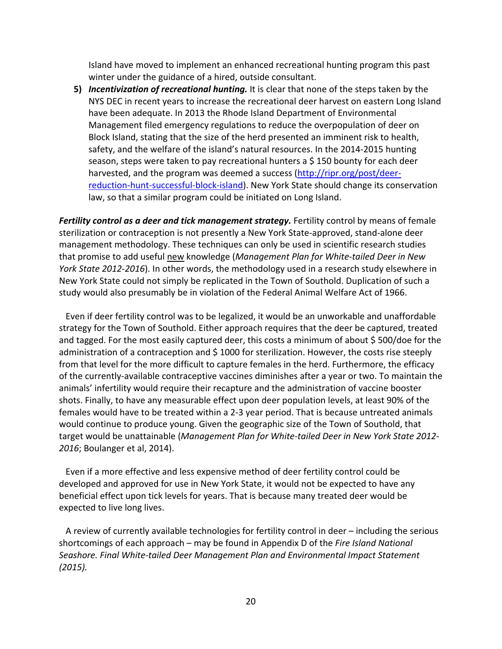Island have moved to implement an enhanced recreational hunting program this past winter under the guidance of a hired, outside consultant.

**5)** *Incentivization of recreational hunting.* It is clear that none of the steps taken by the NYS DEC in recent years to increase the recreational deer harvest on eastern Long Island have been adequate. In 2013 the Rhode Island Department of Environmental Management filed emergency regulations to reduce the overpopulation of deer on Block Island, stating that the size of the herd presented an imminent risk to health, safety, and the welfare of the island's natural resources. In the 2014‐2015 hunting season, steps were taken to pay recreational hunters a \$ 150 bounty for each deer harvested, and the program was deemed a success (http://ripr.org/post/deer‐ reduction-hunt-successful-block-island). New York State should change its conservation law, so that a similar program could be initiated on Long Island.

*Fertility control as a deer and tick management strategy.* Fertility control by means of female sterilization or contraception is not presently a New York State‐approved, stand‐alone deer management methodology. These techniques can only be used in scientific research studies that promise to add useful new knowledge (*Management Plan for White‐tailed Deer in New York State 2012‐2016*). In other words, the methodology used in a research study elsewhere in New York State could not simply be replicated in the Town of Southold. Duplication of such a study would also presumably be in violation of the Federal Animal Welfare Act of 1966.

 Even if deer fertility control was to be legalized, it would be an unworkable and unaffordable strategy for the Town of Southold. Either approach requires that the deer be captured, treated and tagged. For the most easily captured deer, this costs a minimum of about \$500/doe for the administration of a contraception and \$ 1000 for sterilization. However, the costs rise steeply from that level for the more difficult to capture females in the herd. Furthermore, the efficacy of the currently‐available contraceptive vaccines diminishes after a year or two. To maintain the animals' infertility would require their recapture and the administration of vaccine booster shots. Finally, to have any measurable effect upon deer population levels, at least 90% of the females would have to be treated within a 2‐3 year period. That is because untreated animals would continue to produce young. Given the geographic size of the Town of Southold, that target would be unattainable (*Management Plan for White‐tailed Deer in New York State 2012‐ 2016*; Boulanger et al, 2014).

 Even if a more effective and less expensive method of deer fertility control could be developed and approved for use in New York State, it would not be expected to have any beneficial effect upon tick levels for years. That is because many treated deer would be expected to live long lives.

 A review of currently available technologies for fertility control in deer – including the serious shortcomings of each approach – may be found in Appendix D of the *Fire Island National Seashore. Final White‐tailed Deer Management Plan and Environmental Impact Statement (2015).*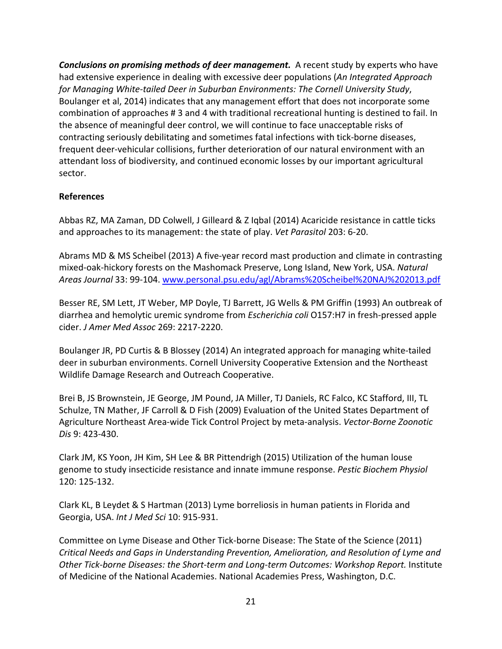*Conclusions on promising methods of deer management.*A recent study by experts who have had extensive experience in dealing with excessive deer populations (*An Integrated Approach for Managing White‐tailed Deer in Suburban Environments: The Cornell University Study*, Boulanger et al, 2014) indicates that any management effort that does not incorporate some combination of approaches # 3 and 4 with traditional recreational hunting is destined to fail. In the absence of meaningful deer control, we will continue to face unacceptable risks of contracting seriously debilitating and sometimes fatal infections with tick‐borne diseases, frequent deer‐vehicular collisions, further deterioration of our natural environment with an attendant loss of biodiversity, and continued economic losses by our important agricultural sector.

## **References**

Abbas RZ, MA Zaman, DD Colwell, J Gilleard & Z Iqbal (2014) Acaricide resistance in cattle ticks and approaches to its management: the state of play. *Vet Parasitol* 203: 6‐20.

Abrams MD & MS Scheibel (2013) A five‐year record mast production and climate in contrasting mixed‐oak‐hickory forests on the Mashomack Preserve, Long Island, New York, USA. *Natural Areas Journal* 33: 99‐104. www.personal.psu.edu/agl/Abrams%20Scheibel%20NAJ%202013.pdf

Besser RE, SM Lett, JT Weber, MP Doyle, TJ Barrett, JG Wells & PM Griffin (1993) An outbreak of diarrhea and hemolytic uremic syndrome from *Escherichia coli* O157:H7 in fresh‐pressed apple cider. *J Amer Med Assoc* 269: 2217‐2220.

Boulanger JR, PD Curtis & B Blossey (2014) An integrated approach for managing white‐tailed deer in suburban environments. Cornell University Cooperative Extension and the Northeast Wildlife Damage Research and Outreach Cooperative.

Brei B, JS Brownstein, JE George, JM Pound, JA Miller, TJ Daniels, RC Falco, KC Stafford, III, TL Schulze, TN Mather, JF Carroll & D Fish (2009) Evaluation of the United States Department of Agriculture Northeast Area‐wide Tick Control Project by meta‐analysis. *Vector‐Borne Zoonotic Dis* 9: 423‐430.

Clark JM, KS Yoon, JH Kim, SH Lee & BR Pittendrigh (2015) Utilization of the human louse genome to study insecticide resistance and innate immune response. *Pestic Biochem Physiol* 120: 125‐132.

Clark KL, B Leydet & S Hartman (2013) Lyme borreliosis in human patients in Florida and Georgia, USA. *Int J Med Sci* 10: 915‐931.

Committee on Lyme Disease and Other Tick‐borne Disease: The State of the Science (2011) *Critical Needs and Gaps in Understanding Prevention, Amelioration, and Resolution of Lyme and Other Tick‐borne Diseases: the Short‐term and Long‐term Outcomes: Workshop Report.* Institute of Medicine of the National Academies. National Academies Press, Washington, D.C.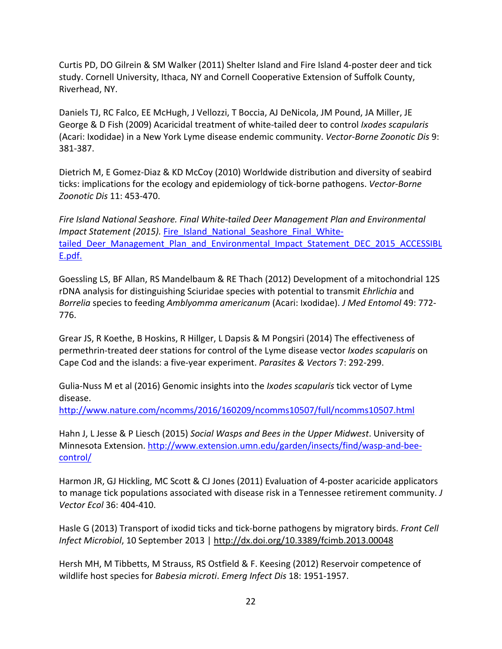Curtis PD, DO Gilrein & SM Walker (2011) Shelter Island and Fire Island 4‐poster deer and tick study. Cornell University, Ithaca, NY and Cornell Cooperative Extension of Suffolk County, Riverhead, NY.

Daniels TJ, RC Falco, EE McHugh, J Vellozzi, T Boccia, AJ DeNicola, JM Pound, JA Miller, JE George & D Fish (2009) Acaricidal treatment of white‐tailed deer to control *Ixodes scapularis* (Acari: Ixodidae) in a New York Lyme disease endemic community. *Vector‐Borne Zoonotic Dis* 9: 381‐387.

Dietrich M, E Gomez‐Diaz & KD McCoy (2010) Worldwide distribution and diversity of seabird ticks: implications for the ecology and epidemiology of tick‐borne pathogens. *Vector‐Borne Zoonotic Dis* 11: 453‐470.

*Fire Island National Seashore. Final White‐tailed Deer Management Plan and Environmental Impact Statement (2015).* Fire Island National Seashore Final Whitetailed Deer Management Plan and Environmental Impact Statement DEC 2015 ACCESSIBL E.pdf.

Goessling LS, BF Allan, RS Mandelbaum & RE Thach (2012) Development of a mitochondrial 12S rDNA analysis for distinguishing Sciuridae species with potential to transmit *Ehrlichia* and *Borrelia* species to feeding *Amblyomma americanum* (Acari: Ixodidae). *J Med Entomol* 49: 772‐ 776.

Grear JS, R Koethe, B Hoskins, R Hillger, L Dapsis & M Pongsiri (2014) The effectiveness of permethrin‐treated deer stations for control of the Lyme disease vector *Ixodes scapularis* on Cape Cod and the islands: a five‐year experiment. *Parasites & Vectors* 7: 292‐299.

Gulia‐Nuss M et al (2016) Genomic insights into the *Ixodes scapularis* tick vector of Lyme disease.

http://www.nature.com/ncomms/2016/160209/ncomms10507/full/ncomms10507.html

Hahn J, L Jesse & P Liesch (2015) *Social Wasps and Bees in the Upper Midwest*. University of Minnesota Extension. http://www.extension.umn.edu/garden/insects/find/wasp-and-beecontrol/

Harmon JR, GJ Hickling, MC Scott & CJ Jones (2011) Evaluation of 4‐poster acaricide applicators to manage tick populations associated with disease risk in a Tennessee retirement community. *J Vector Ecol* 36: 404‐410.

Hasle G (2013) Transport of ixodid ticks and tick‐borne pathogens by migratory birds. *Front Cell Infect Microbiol*, 10 September 2013 | http://dx.doi.org/10.3389/fcimb.2013.00048

Hersh MH, M Tibbetts, M Strauss, RS Ostfield & F. Keesing (2012) Reservoir competence of wildlife host species for *Babesia microti*. *Emerg Infect Dis* 18: 1951‐1957.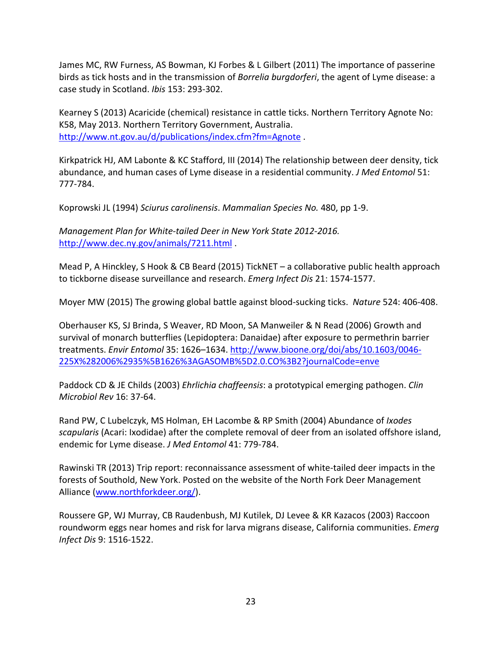James MC, RW Furness, AS Bowman, KJ Forbes & L Gilbert (2011) The importance of passerine birds as tick hosts and in the transmission of *Borrelia burgdorferi*, the agent of Lyme disease: a case study in Scotland. *Ibis* 153: 293‐302.

Kearney S (2013) Acaricide (chemical) resistance in cattle ticks. Northern Territory Agnote No: K58, May 2013. Northern Territory Government, Australia. http://www.nt.gov.au/d/publications/index.cfm?fm=Agnote.

Kirkpatrick HJ, AM Labonte & KC Stafford, III (2014) The relationship between deer density, tick abundance, and human cases of Lyme disease in a residential community. *J Med Entomol* 51: 777‐784.

Koprowski JL (1994) *Sciurus carolinensis*. *Mammalian Species No.* 480, pp 1‐9.

*Management Plan for White‐tailed Deer in New York State 2012‐2016.* http://www.dec.ny.gov/animals/7211.html .

Mead P, A Hinckley, S Hook & CB Beard (2015) TickNET – a collaborative public health approach to tickborne disease surveillance and research. *Emerg Infect Dis* 21: 1574‐1577.

Moyer MW (2015) The growing global battle against blood‐sucking ticks. *Nature* 524: 406‐408.

Oberhauser KS, SJ Brinda, S Weaver, RD Moon, SA Manweiler & N Read (2006) Growth and survival of monarch butterflies (Lepidoptera: Danaidae) after exposure to permethrin barrier treatments. *Envir Entomol* 35: 1626–1634. http://www.bioone.org/doi/abs/10.1603/0046‐ 225X%282006%2935%5B1626%3AGASOMB%5D2.0.CO%3B2?journalCode=enve

Paddock CD & JE Childs (2003) *Ehrlichia chaffeensis*: a prototypical emerging pathogen. *Clin Microbiol Rev* 16: 37‐64.

Rand PW, C Lubelczyk, MS Holman, EH Lacombe & RP Smith (2004) Abundance of *Ixodes scapularis* (Acari: Ixodidae) after the complete removal of deer from an isolated offshore island, endemic for Lyme disease. *J Med Entomol* 41: 779‐784.

Rawinski TR (2013) Trip report: reconnaissance assessment of white‐tailed deer impacts in the forests of Southold, New York. Posted on the website of the North Fork Deer Management Alliance (www.northforkdeer.org/).

Roussere GP, WJ Murray, CB Raudenbush, MJ Kutilek, DJ Levee & KR Kazacos (2003) Raccoon roundworm eggs near homes and risk for larva migrans disease, California communities. *Emerg Infect Dis* 9: 1516‐1522.